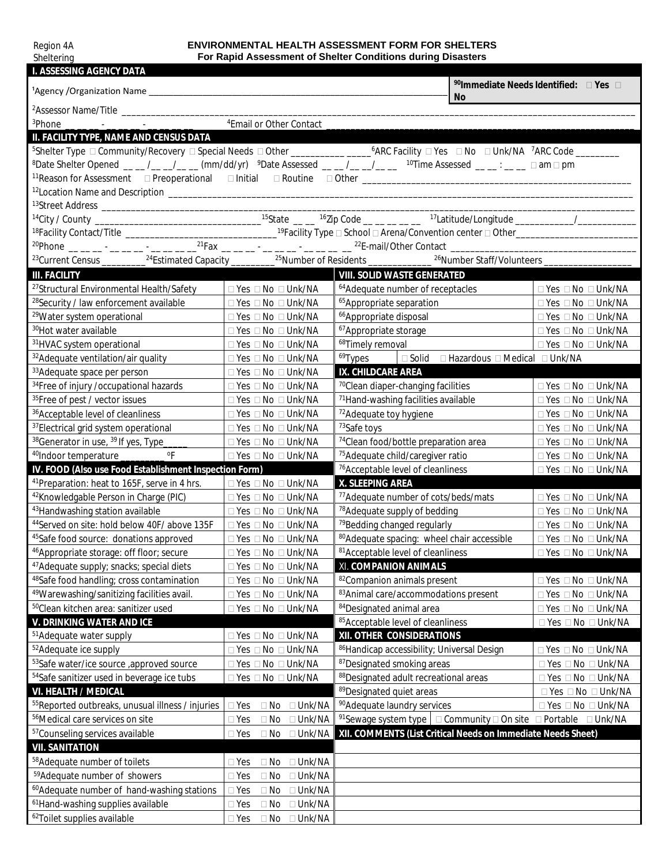| Region 4A                  |  |  |  |
|----------------------------|--|--|--|
| $0 \leq 11 \leq 10 \leq n$ |  |  |  |
|                            |  |  |  |

**Sheltering** 

# **ENVIRONMENTAL HEALTH ASSESSMENT FORM FOR SHELTERS For Rapid Assessment of Shelter Conditions during Disasters**

| <b>I. ASSESSING AGENCY DATA</b>                                                                                                                              |                                                               |                                                                                                                                                                                    |                                    |  |
|--------------------------------------------------------------------------------------------------------------------------------------------------------------|---------------------------------------------------------------|------------------------------------------------------------------------------------------------------------------------------------------------------------------------------------|------------------------------------|--|
|                                                                                                                                                              | <sup>90</sup> Immediate Needs Identified: DYes D<br><b>No</b> |                                                                                                                                                                                    |                                    |  |
|                                                                                                                                                              |                                                               |                                                                                                                                                                                    |                                    |  |
| <sup>4</sup> Email or Other Contact<br><sup>3</sup> Phone                                                                                                    |                                                               |                                                                                                                                                                                    |                                    |  |
| II. FACILITY TYPE, NAME AND CENSUS DATA                                                                                                                      |                                                               |                                                                                                                                                                                    |                                    |  |
| <sup>5</sup> Shelter Type □ Community/Recovery □ Special Needs □ Other _________________6ARC Facility □ Yes □ No □ Unk/NA <sup>7</sup> ARC Code _________    |                                                               |                                                                                                                                                                                    |                                    |  |
| <sup>8</sup> Date Shelter Opened <sub>__</sub> _/__/___(mm/dd/yr) <sup>9</sup> Date Assessed ___/__/___ <sup>10</sup> Time Assessed ___:__ □am □ pm          |                                                               |                                                                                                                                                                                    |                                    |  |
| 11 Reason for Assessment Dereoperational Dinitial DRoutine Dother Communication for Assessment Dereptian Dinitial D                                          |                                                               |                                                                                                                                                                                    |                                    |  |
|                                                                                                                                                              |                                                               |                                                                                                                                                                                    |                                    |  |
|                                                                                                                                                              |                                                               |                                                                                                                                                                                    |                                    |  |
|                                                                                                                                                              |                                                               |                                                                                                                                                                                    |                                    |  |
| <sup>18</sup> Facility Contact/Title __________________________________ <sup>19</sup> Facility Type □ School □ Arena/Convention center □ Other______________ |                                                               |                                                                                                                                                                                    |                                    |  |
|                                                                                                                                                              |                                                               |                                                                                                                                                                                    |                                    |  |
|                                                                                                                                                              |                                                               | <sup>23</sup> Current Census __________ <sup>24</sup> Estimated Capacity _________ <sup>25</sup> Number of Residents ____________ <sup>26</sup> Number Staff/Volunteers __________ |                                    |  |
| <b>III. FACILITY</b>                                                                                                                                         |                                                               | <b>VIII. SOLID WASTE GENERATED</b>                                                                                                                                                 |                                    |  |
| <sup>27</sup> Structural Environmental Health/Safety                                                                                                         | $\Box$ Yes $\Box$ No $\Box$ Unk/NA                            | <sup>64</sup> Adequate number of receptacles                                                                                                                                       | $\Box$ Yes $\Box$ No $\Box$ Unk/NA |  |
| <sup>28</sup> Security / law enforcement available                                                                                                           | □ Yes □ No □ Unk/NA                                           | 65 Appropriate separation                                                                                                                                                          | □ Yes □ No □ Unk/NA                |  |
| <sup>29</sup> Water system operational                                                                                                                       | $\Box$ Yes $\Box$ No $\Box$ Unk/NA                            | <sup>66</sup> Appropriate disposal                                                                                                                                                 | $\Box$ Yes $\Box$ No $\Box$ Unk/NA |  |
| <sup>30</sup> Hot water available                                                                                                                            | $\Box$ Yes $\Box$ No $\Box$ Unk/NA                            | <sup>67</sup> Appropriate storage                                                                                                                                                  | $\Box$ Yes $\Box$ No $\Box$ Unk/NA |  |
| <sup>31</sup> HVAC system operational                                                                                                                        | $\Box$ Yes $\Box$ No $\Box$ Unk/NA                            | <sup>68</sup> Timely removal                                                                                                                                                       | $\Box$ Yes $\Box$ No $\Box$ Unk/NA |  |
| <sup>32</sup> Adequate ventilation/air quality                                                                                                               | $\Box$ Yes $\Box$ No $\Box$ Unk/NA                            | <sup>69</sup> Types<br>□ Solid □ Hazardous □ Medical □ Unk/NA                                                                                                                      |                                    |  |
| 33 Adequate space per person                                                                                                                                 | $\Box$ Yes $\Box$ No $\Box$ Unk/NA                            | IX. CHILDCARE AREA                                                                                                                                                                 |                                    |  |
| <sup>34</sup> Free of injury / occupational hazards                                                                                                          | $\Box$ Yes $\Box$ No $\Box$ Unk/NA                            | <sup>70</sup> Clean diaper-changing facilities                                                                                                                                     | $\Box$ Yes $\Box$ No $\Box$ Unk/NA |  |
| <sup>35</sup> Free of pest / vector issues                                                                                                                   | $\Box$ Yes $\Box$ No $\Box$ Unk/NA                            | <sup>71</sup> Hand-washing facilities available                                                                                                                                    | $\Box$ Yes $\Box$ No $\Box$ Unk/NA |  |
| <sup>36</sup> Acceptable level of cleanliness                                                                                                                | $\Box$ Yes $\Box$ No $\Box$ Unk/NA                            | <sup>72</sup> Adequate toy hygiene                                                                                                                                                 | □ Yes □ No □ Unk/NA                |  |
| <sup>37</sup> Electrical grid system operational                                                                                                             | □ Yes □ No □ Unk/NA                                           | 73Safe toys                                                                                                                                                                        | □ Yes □ No □ Unk/NA                |  |
| <sup>38</sup> Generator in use, <sup>39</sup> If yes, Type_                                                                                                  | □ Yes □ No □ Unk/NA                                           | <sup>74</sup> Clean food/bottle preparation area                                                                                                                                   | $\Box$ Yes $\Box$ No $\Box$ Unk/NA |  |
| $\mathsf{o}\mathsf{F}$<br><sup>40</sup> Indoor temperature ______                                                                                            | □ Yes □ No □ Unk/NA                                           | <sup>75</sup> Adequate child/caregiver ratio                                                                                                                                       | $\Box$ Yes $\Box$ No $\Box$ Unk/NA |  |
| IV. FOOD (Also use Food Establishment Inspection Form)                                                                                                       |                                                               | <sup>76</sup> Acceptable level of cleanliness                                                                                                                                      | □ Yes □ No □ Unk/NA                |  |
| <sup>41</sup> Preparation: heat to 165F, serve in 4 hrs.                                                                                                     | $\Box$ Yes $\Box$ No $\Box$ Unk/NA                            | X. SLEEPING AREA                                                                                                                                                                   |                                    |  |
| <sup>42</sup> Knowledgable Person in Charge (PIC)                                                                                                            | $\Box$ Yes $\Box$ No $\Box$ Unk/NA                            | <sup>77</sup> Adequate number of cots/beds/mats                                                                                                                                    | $\Box$ Yes $\Box$ No $\Box$ Unk/NA |  |
| <sup>43</sup> Handwashing station available                                                                                                                  | $\Box$ Yes $\Box$ No $\Box$ Unk/NA                            | <sup>78</sup> Adequate supply of bedding                                                                                                                                           | $\Box$ Yes $\Box$ No $\Box$ Unk/NA |  |
| <sup>44</sup> Served on site: hold below 40F/ above 135F                                                                                                     | $\Box$ Yes $\Box$ No $\Box$ Unk/NA                            | <sup>79</sup> Bedding changed regularly                                                                                                                                            | $\Box$ Yes $\Box$ No $\Box$ Unk/NA |  |
| <sup>45</sup> Safe food source: donations approved                                                                                                           | □ Yes □ No □ Unk/NA                                           | 80 Adequate spacing: wheel chair accessible                                                                                                                                        | □ Yes □ No □ Unk/NA                |  |
| <sup>46</sup> Appropriate storage: off floor; secure                                                                                                         | $\Box$ Yes $\Box$ No $\Box$ Unk/NA                            | <sup>81</sup> Acceptable level of cleanliness                                                                                                                                      | □ Yes □ No □ Unk/NA                |  |
| <sup>47</sup> Adequate supply; snacks; special diets                                                                                                         | $\Box$ Yes $\Box$ No $\Box$ Unk/NA                            | XI. COMPANION ANIMALS                                                                                                                                                              |                                    |  |
| <sup>48</sup> Safe food handling; cross contamination                                                                                                        | $\Box$ Yes $\Box$ No $\Box$ Unk/NA                            | 82Companion animals present                                                                                                                                                        | $\Box$ Yes $\Box$ No $\Box$ Unk/NA |  |
| <sup>49</sup> Warewashing/sanitizing facilities avail.                                                                                                       | □ Yes □ No □ Unk/NA                                           | 83 Animal care/accommodations present                                                                                                                                              | □ Yes □ No □ Unk/NA                |  |
| <sup>50</sup> Clean kitchen area: sanitizer used                                                                                                             | □ Yes □ No □ Unk/NA                                           | 84 Designated animal area                                                                                                                                                          | $\Box$ Yes $\Box$ No $\Box$ Unk/NA |  |
| <b>V. DRINKING WATER AND ICE</b>                                                                                                                             |                                                               | 85 Acceptable level of cleanliness                                                                                                                                                 | $\Box$ Yes $\Box$ No $\Box$ Unk/NA |  |
| <sup>51</sup> Adequate water supply                                                                                                                          | □ Yes □ No □ Unk/NA                                           | XII. OTHER CONSIDERATIONS                                                                                                                                                          |                                    |  |
| <sup>52</sup> Adequate ice supply                                                                                                                            | □ Yes □ No □ Unk/NA                                           | 86Handicap accessibility; Universal Design                                                                                                                                         | $\Box$ Yes $\Box$ No $\Box$ Unk/NA |  |
| 53Safe water/ice source ,approved source                                                                                                                     | □ Yes □ No □ Unk/NA                                           | 87 Designated smoking areas                                                                                                                                                        | □ Yes □ No □ Unk/NA                |  |
| <sup>54</sup> Safe sanitizer used in beverage ice tubs                                                                                                       | □ Yes □ No □ Unk/NA                                           | 88 Designated adult recreational areas                                                                                                                                             | □ Yes □ No □ Unk/NA                |  |
| VI. HEALTH / MEDICAL                                                                                                                                         |                                                               | <sup>89</sup> Designated quiet areas                                                                                                                                               | $\Box$ Yes $\Box$ No $\Box$ Unk/NA |  |
| <sup>55</sup> Reported outbreaks, unusual illness / injuries                                                                                                 | $\Box$ Yes<br>$\Box$ No<br>$\square$ Unk/NA                   | <sup>90</sup> Adequate laundry services                                                                                                                                            | □ Yes □ No □ Unk/NA                |  |
| <sup>56</sup> Medical care services on site                                                                                                                  | $\square$ Yes<br>$\Box$ No<br>$\Box$ Unk/NA                   | <sup>91</sup> Sewage system type $\Box$ Community $\Box$ On site $\Box$ Portable $\Box$ Unk/NA                                                                                     |                                    |  |
| <sup>57</sup> Counseling services available                                                                                                                  | $\square$ Yes<br>$\Box$ No $\Box$ Unk/NA                      | XII. COMMENTS (List Critical Needs on Immediate Needs Sheet)                                                                                                                       |                                    |  |
| <b>VII. SANITATION</b>                                                                                                                                       |                                                               |                                                                                                                                                                                    |                                    |  |
| <sup>58</sup> Adequate number of toilets                                                                                                                     | $\Box$ Unk/NA<br>$\square$ Yes<br>$\Box$ No                   |                                                                                                                                                                                    |                                    |  |
| <sup>59</sup> Adequate number of showers                                                                                                                     | $\square$ Unk/NA<br>$\Box$ Yes<br>$\Box$ No                   |                                                                                                                                                                                    |                                    |  |
| <sup>60</sup> Adequate number of hand-washing stations                                                                                                       | $\Box$ Unk/NA<br>$\Box$ Yes<br>$\Box$ No                      |                                                                                                                                                                                    |                                    |  |
| <sup>61</sup> Hand-washing supplies available                                                                                                                | $\Box$ Yes<br>$\Box$ No<br>$\Box$ Unk/NA                      |                                                                                                                                                                                    |                                    |  |
| <sup>62</sup> Toilet supplies available                                                                                                                      | $\Box$ Unk/NA<br>$\Box$ Yes<br>$\Box$ No                      |                                                                                                                                                                                    |                                    |  |